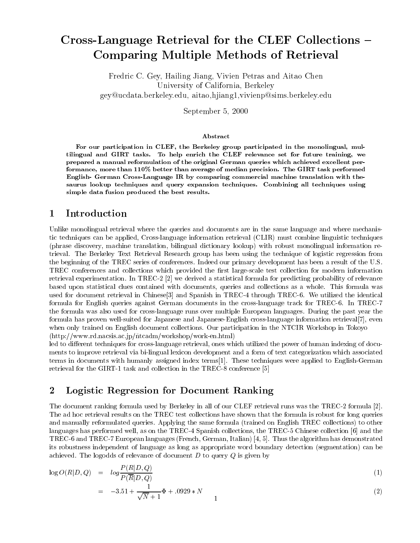# Cross-Language Retrieval for the CLEF Collections { Comparing Multiple Methods of Retrieval

Fredric C. Gey, Hailing Jiang, Vivien Petras and Aitao Chen University of California, Berkeley gey@ucdata.berkeley.edu, aitao,hjiang1,vivienp@sims.berkeley.edu

September 5, 2000

### Abstract

For our participation in CLEF, the Berkeley group participated in the monolingual, multilingual and GIRT tasks. To help enrich the CLEF relevance set for future training, we prepared a manual reformulation of the original German queries which achieved excellent performance, more than 110% better than average of median precision. The GIRT task performed English- German Cross-Language IR by comparing commercial machine translation with the saurus lookup techniques and query expansion techniques. Combining all techniques using simple data fusion produced the best results.

#### **Introduction**  $\mathbf 1$

Unlike monolingual retrieval where the queries and documents are in the same language and where mechanistic techniques can be applied, Cross-language information retrieval (CLIR) must combine linguistic techniques (phrase discovery, machine translation, bilingual dictionary lookup) with robust monolingual information retrieval. The Berkeley Text Retrieval Research group has been using the technique of logistic regression from the beginning of the TREC series of conferences. Indeed our primary development has been a result of the U.S. TREC conferences and collections which provided the first large-scale test collection for modern information retrieval experimentation. In TREC-2 [2] we derived a statistical formula for predicting probability of relevance based upon statistical clues contained with documents, queries and collections as a whole. This formula was used for document retrieval in Chinese[3] and Spanish in TREC-4 through TREC-6. We utilized the identical formula for English queries against German documents in the cross-language track for TREC-6. In TREC-7 the formula was also used for cross-language runs over multiple European languages. During the past year the formula has proven well-suited for Japanese and Japanese-English cross-language information retrieval[7], even when only trained on English document collections. Our participation in the NTCIR Workshop in Tokoyo  $(\text{http://www.rd.nacsis.ac.jp/fitcadm/workshop/work-en.html})$ 

led to different techniques for cross-language retrieval, ones which utilized the power of human indexing of documents to improve retrieval via bi-lingual lexicon development and a form of text categorization which associated terms in documents with humanly assigned index terms[1]. These techniques were applied to English-German retrieval for the GIRT-1 task and collection in the TREC-8 conference [5]

#### $\overline{2}$ 2 Logistic Regression for Document Ranking

 $\Delta \sim 10^4$ 

The document ranking formula used by Berkeley in all of our CLEF retrieval runs was the TREC-2 formula [2]. The ad hoc retrieval results on the TREC test collections have shown that the formula is robust for long queries and manually reformulated queries. Applying the same formula (trained on English TREC collections) to other languages has performed well, as on the TREC-4 Spanish collections, the TREC-5 Chinese collection [6] and the TREC-6 and TREC-7 European languages (French, German, Italian) [4, 5]. Thus the algorithm has demonstrated its robustness independent of language as long as appropriate word boundary detection (segmentation) can be achieved. The logodds of relevance of document  $D$  to query  $Q$  is given by

$$
\log O(R|D,Q) = \log \frac{P(R|D,Q)}{P(\overline{R}|D,Q)} \tag{1}
$$

$$
= -3.51 + \frac{1}{\sqrt{N} + 1} \Phi + .0929 * N
$$
 (2)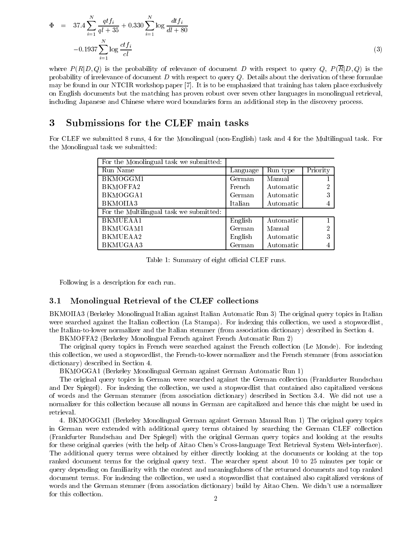$$
\Phi = 37.4 \sum_{i=1}^{N} \frac{qtf_i}{ql + 35} + 0.330 \sum_{i=1}^{N} \log \frac{dtf_i}{dl + 80}
$$
  
-0.1937  $\sum_{i=1}^{N} \log \frac{ctf_i}{cl}$  (3)

where  $P(R|D,Q)$  is the probability of relevance of document D with respect to query Q,  $P(\overline{R}|D,Q)$  is the probability of irrelevance of document  $D$  with respect to query  $Q$ . Details about the derivation of these formulae may be found in our NTCIR workshop paper [7]. It is to be emphasized that training has taken place exclusively on English documents but the matching has proven robust over seven other languages in monolingual retrieval, including Japanese and Chinese where word boundaries form an additional step in the discovery process.

#### 3 Submissions for the CLEF main tasks

For CLEF we submitted 8 runs, 4 for the Monolingual (non-English) task and 4 for the Multilingual task. For the Monolingual task we submitted:

| For the Monolingual task we submitted:  |                         |           |                |
|-----------------------------------------|-------------------------|-----------|----------------|
| Run Name                                | Language                | Run type  | Priority       |
| BKMOGGM1                                | German                  | Manual    |                |
| BKMOFFA2                                | French                  | Automatic | 2              |
| BKMOGGA1                                | German                  | Automatic | 3              |
| BKMOIIA3                                | Italian                 | Automatic | 4              |
| For the Multilingual task we submitted: |                         |           |                |
| <b>BKMUEAA1</b>                         | English                 | Automatic |                |
| BKMUGAM1                                | German                  | Manual    | $\overline{2}$ |
| BKMUEAA2                                | English                 | Automatic | 3              |
| BKMUGAA3                                | $\operatorname{German}$ | Automatic | 4              |

Table 1: Summary of eight official CLEF runs.

Following is a description for each run.

#### $3.1$ Monolingual Retrieval of the CLEF collections

BKMOIIA3 (Berkeley Monolingual Italian against Italian Automatic Run 3) The original query topics in Italian were searched against the Italian collection (La Stampa). For indexing this collection, we used a stopwordlist, the Italian-to-lower normalizer and the Italian stemmer (from association dictionary) described in Section 4.

BKMOFFA2 (Berkeley Monolingual French against French Automatic Run 2)

The original query topics in French were searched against the French collection (Le Monde). For indexing this collection, we used a stopwordlist, the French-to-lower normalizer and the French stemmer (from association dictionary) described in Section 4.

BKMOGGA1 (Berkeley Monolingual German against German Automatic Run 1)

The original query topics in German were searched against the German collection (Frankfurter Rundschau and Der Spiegel). For indexing the collection, we used a stopwordlist that contained also capitalized versions of words and the German stemmer (from association dictionary) described in Section 3.4.We did not use a normalizer for this collection because all nouns in German are capitalized and hence this clue might be used in retrieval.

4. BKMOGGM1 (Berkeley Monolingual German against German Manual Run 1) The original query topics in German were extended with additional query terms obtained by searching the German CLEF collection (Frankfurter Rundschau and Der Spiegel) with the original German query topics and looking at the results for these original queries (with the help of Aitao Chen's Cross-language Text Retrieval System Web-interface). The additional query terms were obtained by either directly looking at the documents or looking at the top ranked document terms for the original query text. The searcher spent about 10 to 25 minutes per topic or query depending on familiarity with the context and meaningfulness of the returned documents and top ranked document terms. For indexing the collection, we used a stopwordlist that contained also capitalized versions of words and the German stemmer (from association dictionary) build by Aitao Chen. We didn't use a normalizer for this collection.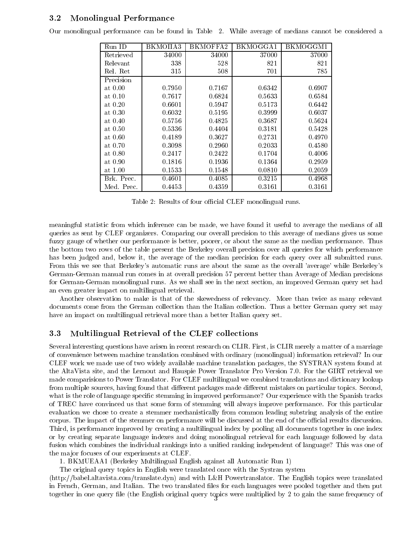## 3.2 Monolingual Performance

Our monolingual performance can be found in Table 2. While average of medians cannot be considered a

| Run ID     | BKMOHA3 | <b>BKMOFFA2</b> | BKMOGGA1 | BKMOGGM1 |  |
|------------|---------|-----------------|----------|----------|--|
| Retrieved  | 34000   | 34000           | 37000    | 37000    |  |
| Relevant   | 338     | 528             | 821      | 821      |  |
| Rel. Ret   | 315     | 508             | 701      | 785      |  |
| Precision  |         |                 |          |          |  |
| at $0.00$  | 0.7950  | 0.7167          | 0.6342   | 0.6907   |  |
| at $0.10$  | 0.7617  | 0.6824          | 0.5633   | 0.6584   |  |
| at $0.20$  | 0.6601  | 0.5947          | 0.5173   | 0.6442   |  |
| at $0.30$  | 0.6032  | 0.5195          | 0.3999   | 0.6037   |  |
| at $0.40$  | 0.5756  | 0.4825          | 0.3687   | 0.5624   |  |
| at $0.50$  | 0.5336  | 0.4404          | 0.3181   | 0.5428   |  |
| at $0.60$  | 0.4189  | 0.3627          | 0.2731   | 0.4970   |  |
| at $0.70$  | 0.3098  | 0.2960          | 0.2033   | 0.4580   |  |
| at 0.80    | 0.2417  | 0.2422          | 0.1704   | 0.4006   |  |
| at 0.90    | 0.1816  | 0.1936          | 0.1364   | 0.2959   |  |
| at 1.00    | 0.1533  | 0.1548          | 0.0810   | 0.2059   |  |
| Brk. Prec. | 0.4601  | 0.4085          | 0.3215   | 0.4968   |  |
| Med. Prec. | 0.4453  | 0.4359          | 0.3161   | 0.3161   |  |

Table 2: Results of four official CLEF monolingual runs.

meaningful statistic from which inference can be made, we have found it useful to average the medians of all queries as sent by CLEF organizers. Comparing our overall precision to this average of medians gives us some fuzzy gauge of whether our performance is better, poorer, or about the same as the median performance. Thus the bottom two rows of the table present the Berkeley overall precision over all queries for which performance has been judged and, below it, the average of the median precision for each query over all submitted runs. From this we see that Berkeley's automatic runs are about the same as the overall 'average' while Berkeley's German-German manual run comes in at overall precision 57 percent better than Average of Median precisions for German-German monolingual runs. As we shall see in the next section, an improved German query set had an even greater impact on multilingual retrieval.

Another observation to make is that of the skewedness of relevancy. More than twice as many relevant documents come from the German collection than the Italian collection. Thus a better German query set may have an impact on multilingual retrieval more than a better Italian query set.

#### 3.3 Multilingual Retrieval of the CLEF collections  $3.3$

Several interesting questions have arisen in recent research on CLIR. First, is CLIR merely a matter of a marriage of convenience between machine translation combined with ordinary (monolingual) information retrieval? In our CLEF work we made use of two widely available machine translation packages, the SYSTRAN system found at the AltaVista site, and the Lernout and Hauspie Power Translator Pro Version 7.0. For the GIRT retrieval we made comparisions to Power Translator. For CLEF multilingual we combined translations and dictionary lookup from multiple sources, having found that different packages made different mistakes on particular topics. Second, what is the role of language specific stemming in improved performance? Our experience with the Spanish tracks of TREC have convinced us that some form of stemming will always improve performance. For this particular evaluation we chose to create a stemmer mechanistically from common leading substring analysis of the entire corpus. The impact of the stemmer on performance will be discussed at the end of the official results discussion. Third, is performance improved by creating a multilingual index by pooling all documents together in one index or by creating separate language indexes and doing monolingual retrieval for each language followed by data fusion which combines the individual rankings into a unified ranking independent of language? This was one of the ma jor focuses of our experiments at CLEF.

1. BKMUEAA1 (Berkeley Multilingual English against all Automatic Run 1)

The original query topics in English were translated once with the Systran system

(http://babel.altavista.com/translate.dyn) and with L&H Powertranslator. The English topics were translated in French, German, and Italian. The two translated files for each languages were pooled together and then put together in one query file (the English original query topics were multiplied by 2 to gain the same frequency of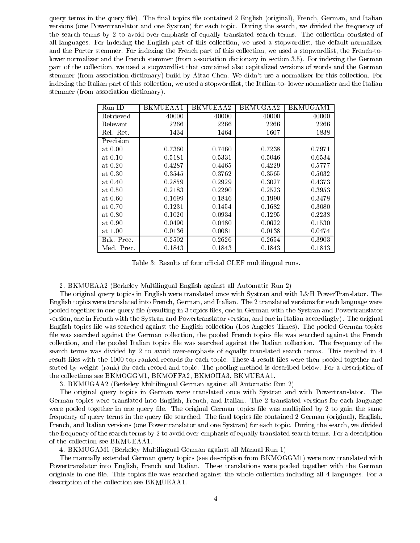query terms in the query file). The final topics file contained 2 English (original), French, German, and Italian versions (one Powertranslator and one Systran) for each topic. During the search, we divided the frequency of the search terms by 2 to avoid over-emphasis of equally translated search terms. The collection consisted of all languages. For indexing the English part of this collection, we used a stopwordlist, the default normalizer and the Porter stemmer. For indexing the French part of this collection, we used a stopwordlist, the French-tolower normalizer and the French stemmer (from association dictionary in section 3.5). For indexing the German part of the collection, we used a stopwordlist that contained also capitalized versions of words and the German stemmer (from association dictionary) build by Aitao Chen. We didn't use a normalizer for this collection. For indexing the Italian part of this collection, we used a stopwordlist, the Italian-to- lower normalizer and the Italian stemmer (from association dictionary).

| Run ID     | BKMUEAA1 | BKMUEAA2 | BKMUGAA2 | BKMUGAM1 |  |
|------------|----------|----------|----------|----------|--|
| Retrieved  | 40000    | 40000    | 40000    | 40000    |  |
| Relevant   | 2266     | 2266     | 2266     | 2266     |  |
| Rel. Ret.  | 1434     | 1464     | 1607     | 1838     |  |
| Precision  |          |          |          |          |  |
| at $0.00$  | 0.7360   | 0.7460   | 0.7238   | 0.7971   |  |
| at 0.10    | 0.5181   | 0.5331   | 0.5046   | 0.6534   |  |
| at $0.20$  | 0.4287   | 0.4465   | 0.4229   | 0.5777   |  |
| at 0.30    | 0.3545   | 0.3762   | 0.3565   | 0.5032   |  |
| at $0.40$  | 0.2859   | 0.2929   | 0.3027   | 0.4373   |  |
| at 0.50    | 0.2183   | 0.2290   | 0.2523   | 0.3953   |  |
| at $0.60$  | 0.1699   | 0.1846   | 0.1990   | 0.3478   |  |
| at $0.70$  | 0.1231   | 0.1454   | 0.1682   | 0.3080   |  |
| at 0.80    | 0.1020   | 0.0934   | 0.1295   | 0.2238   |  |
| at 0.90    | 0.0490   | 0.0480   | 0.0622   | 0.1530   |  |
| at 1.00    | 0.0136   | 0.0081   | 0.0138   | 0.0474   |  |
| Brk. Prec. | 0.2502   | 0.2626   | 0.2654   | 0.3903   |  |
| Med. Prec. | 0.1843   | 0.1843   | 0.1843   | 0.1843   |  |

Table 3: Results of four official CLEF multilingual runs.

2. BKMUEAA2 (Berkeley Multilingual English against all Automatic Run 2)

The original query topics in English were translated once with Systran and with L&H PowerTranslator. The English topics were translated into French, German, and Italian. The 2 translated versions for each language were pooled together in one query le (resulting in 3 topics les, one in German with the Systran and Powertranslator version, one in French with the Systran and Powertranslator version, and one in Italian accordingly). The original English topics file was searched against the English collection (Los Angeles Times). The pooled German topics file was searched against the German collection, the pooled French topics file was searched against the French collection, and the pooled Italian topics file was searched against the Italian collection. The frequency of the search terms was divided by 2 to avoid over-emphasis of equally translated search terms. This resulted in 4 result files with the 1000 top ranked records for each topic. These 4 result files were then pooled together and sorted by weight (rank) for each record and topic. The pooling method is described below. For a description of the collections see BKMOGGM1, BKMOFFA2, BKMOIIA3, BKMUEAA1.

3. BKMUGAA2 (Berkeley Multilingual German against all Automatic Run 2)

The original query topics in German were translated once with Systran and with Powertranslator. The German topics were translated into English, French, and Italian. The 2 translated versions for each language were pooled together in one query file. The original German topics file was multiplied by 2 to gain the same frequency of query terms in the query file searched. The final topics file contained 2 German (original), English, French, and Italian versions (one Powertranslator and one Systran) for each topic. During the search, we divided the frequency of the search terms by 2 to avoid over-emphasis of equally translated search terms. For a description of the collection see BKMUEAA1.

4. BKMUGAM1 (Berkeley Multilingual German against all Manual Run 1)

The manually extended German query topics (see description from BKMOGGM1) were now translated with Powertranslator into English, French and Italian. These translations were pooled together with the German originals in one file. This topics file was searched against the whole collection including all 4 languages. For a description of the collection see BKMUEAA1.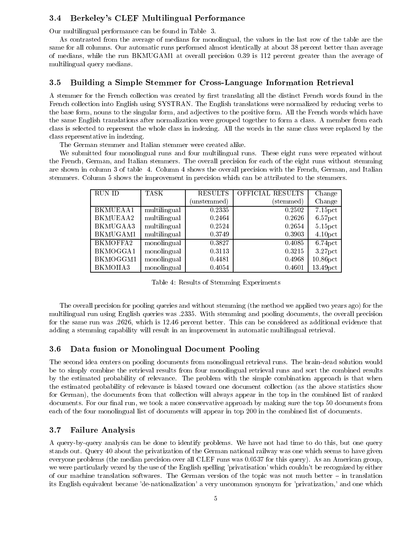## 3.4 Berkeley's CLEF Multilingual Performance

Our multilingual performance can be found in Table 3.

As contrasted from the average of medians for monolingual, the values in the last row of the table are the same for all columns. Our automatic runs performed almost identically at about 38 percent better than average of medians, while the run BKMUGAM1 at overall precision 0.39 is 112 percent greater than the average of multilingual query medians.

## 3.5 Building a Simple Stemmer for Cross-Language Information Retrieval

A stemmer for the French collection was created by first translating all the distinct French words found in the French collection into English using SYSTRAN. The English translations were normalized by reducing verbs to the base form, nouns to the singular form, and adjectives to the positive form. All the French words which have the same English translations after normalization were grouped together to form a class. A member from each class is selected to represent the whole class in indexing. All the words in the same class were replaced by the class representative in indexing.

The German stemmer and Italian stemmer were created alike.

We submitted four monolingual runs and four multilingual runs. These eight runs were repeated without the French, German, and Italian stemmers. The overall precision for each of the eight runs without stemming are shown in column 3 of table 4. Column 4 shows the overall precision with the French, German, and Italian stemmers. Column 5 shows the improvement in precision which can be attributed to the stemmers.

| <b>RUN ID</b> | <b>TASK</b>  | <b>RESULTS</b>                 | OFFICIAL RESULTS     | Change      |
|---------------|--------------|--------------------------------|----------------------|-------------|
|               |              | $\left( \rm{unstemmed}\right)$ | $(\mathrm{stemmed})$ | Change      |
| BKMUEAA1      | multilingual | 0.2335                         | 0.2502               | $7.15$ pct  |
| BKMUEAA2      | multilingual | 0.2464                         | 0.2626               | 6.57pct     |
| BKMUGAA3      | multilingual | 0.2524                         | 0.2654               | $5.15$ pct  |
| BKMUGAM1      | multilingual | 0.3749                         | 0.3903               | $4.10pc$ t  |
| BKMOFFA2      | monolingual  | 0.3827                         | 0.4085               | 6.74pct     |
| BKMOGGA1      | monolingual  | 0.3113                         | 0.3215               | 3.27pct     |
| BKMOGGM1      | monolingual  | 0.4481                         | 0.4968               | $10.86$ pct |
| BKMOIIA3      | monolingual  | 0.4054                         | 0.4601               | 13.49pct    |

Table 4: Results of Stemming Experiments

The overall precision for pooling queries and without stemming (the method we applied two years ago) for the multilingual run using English queries was .2335. With stemming and pooling documents, the overall precision for the same run was .2626, which is 12.46 percent better. This can be considered as additional evidence that adding a stemming capability will result in an improvement in automatic multilingual retrieval.

#### Data fusion or Monolingual Document Pooling  $3.6$

The second idea centers on pooling documents from monolingual retrieval runs. The brain-dead solution would be to simply combine the retrieval results from four monolingual retrieval runs and sort the combined results by the estimated probability of relevance. The problem with the simple combination approach is that when the estimated probability of relevance is biased toward one document collection (as the above statistics show for German), the documents from that collection will always appear in the top in the combined list of ranked documents. For our final run, we took a more conservative approach by making sure the top 50 documents from each of the four monolingual list of documents will appear in top 200 in the combined list of documents.

## 3.7 Failure Analysis

A query-by-query analysis can be done to identify problems. We have not had time to do this, but one query stands out. Query 40 about the privatization of the German national railway was one which seems to have given everyone problems (the median precision over all CLEF runs was 0.0537 for this query). As an American group, we were particularly vexed by the use of the English spelling 'privatisation' which couldn't be recognized by either of our machine translation softwares. The German version of the topic was not much better  $-$  in translation its English equivalent became 'de-nationalization' a very uncommon synonym for 'privatization,' and one which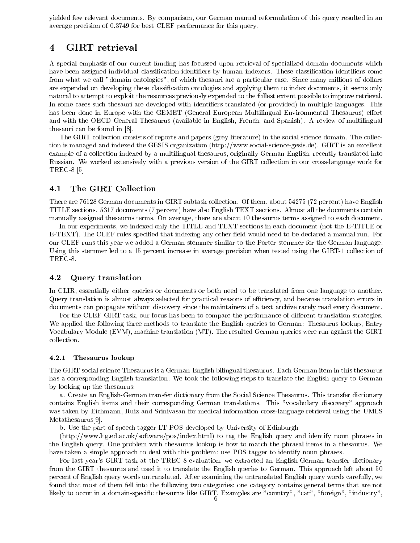yielded few relevant documents. By comparison, our German manual reformulation of this query resulted in an average precision of 0.3749 for best CLEF performance for this query.

## 4 GIRT retrieval

A special emphasis of our current funding has focussed upon retrieval of specialized domain documents which have been assigned individual classification identifiers by human indexers. These classification identifiers come from what we call "domain ontologies", of which thesauri are a particular case. Since many millions of dollars are expended on developing these classication ontologies and applying them to index documents, it seems only natural to attempt to exploit the resources previously expended to the fullest extent possible to improve retrieval. In some cases such the sauri are developed with identifiers translated (or provided) in multiple languages. This has been done in Europe with the GEMET (General European Multilingual Environmental Thesaurus) effort and with the OECD General Thesaurus (available in English, French, and Spanish). A review of multilingual thesauri can be found in [8].

The GIRT collection consists of reports and papers (grey literature) in the social science domain. The collection is managed and indexed the GESIS organization (http://www.social-science-gesis.de). GIRT is an excellent example of a collection indexed byamultilingual thesaurus, originally German-English, recently translated into Russian. We worked extensively with a previous version of the GIRT collection in our cross-language work for TREC-8 [5]

## 4.1 The GIRT Collection

There are 76128 German documents in GIRT subtask collection. Of them, about 54275 (72 percent) have English TITLE sections. 5317 documents (7 percent) have also English TEXT sections. Almost all the documents contain manually assigned thesaurus terms. On average, there are about 10 thesaurus terms assigned to each document.

In our experiments, we indexed only the TITLE and TEXT sections in each document (not the E-TITLE or E-TEXT). The CLEF rules specified that indexing any other field would need to be declared a manual run. For our CLEF runs this year we added a German stemmer similar to the Porter stemmer for the German language. Using this stemmer led to a 15 percent increase in average precision when tested using the GIRT-1 collection of TREC-8.

## 4.2 Query translation

In CLIR, essentially either queries or documents or both need to be translated from one language to another. Query translation is almost always selected for practical reasons of efficiency, and because translation errors in documents can propagate without discovery since the maintainers of a text archive rarely read every document.

For the CLEF GIRT task, our focus has been to compare the performance of different translation strategies. We applied the following three methods to translate the English queries to German: Thesaurus lookup, Entry Vocabulary Module (EVM), machine translation (MT). The resulted German queries were run against the GIRT collection.

### 4.2.1 Thesaurus lookup

The GIRT social science Thesaurus is a German-English bilingual thesaurus. Each German item in this thesaurus has a corresponding English translation. We took the following steps to translate the English query to German by looking up the thesaurus:

a. Create an English-German transfer dictionary from the Social Science Thesaurus. This transfer dictionary contains English items and their corresponding German translations. This "vocabulary discovery" approach was taken by Eichmann, Ruiz and Srinivasan for medical information cross-language retrieval using the UMLS Metathesaurus[9].

b. Use the part-of-speech tagger LT-POS developed by University of Edinburgh

(http://www.ltg.ed.ac.uk/software/pos/index.html) to tag the English query and identify noun phrases in the English query. One problem with thesaurus lookup is how to match the phrasal items in a thesaurus. We have taken a simple approach to deal with this problem: use POS tagger to identify noun phrases.

For last year's GIRT task at the TREC-8 evaluation, we extracted an English-German transfer dictionary from the GIRT thesaurus and used it to translate the English queries to German. This approach left about 50 percent of English query words untranslated. After examining the untranslated English query words carefully, we found that most of them fell into the following two categories: one category contains general terms that are not likely to occur in a domain-specific thesaurus like GIRT. Examples are "country", "car", "foreign", "industry",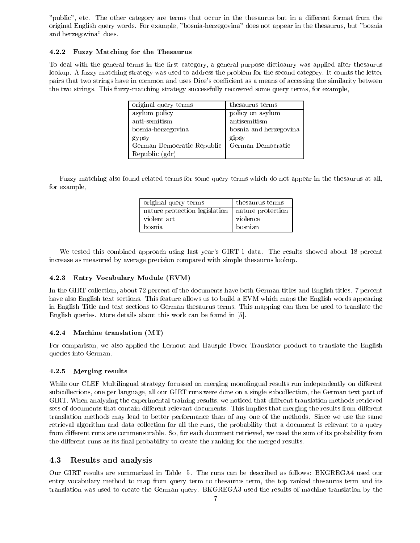"public", etc. The other category are terms that occur in the thesaurus but in a different format from the original English query words. For example, "bosnia-herzegovina" does not appear in the thesaurus, but "bosnia and herzegovina" does.

### 4.2.2 Fuzzy Matching for the Thesaurus

To deal with the general terms in the first category, a general-purpose dictioanry was applied after thesaurus lookup. A fuzzy-matching strategy was used to address the problem for the second category. It counts the letter pairs that two strings have in common and uses Dice's coefficient as a means of accessing the similarity between the two strings. This fuzzy-matching strategy successfully recovered some query terms, for example,

| original query terms       | thesaurus terms        |
|----------------------------|------------------------|
| asylum policy              | policy on asylum       |
| anti-semitism              | antisemitism           |
| bosnia-herzegovina         | bosnia and herzegovina |
| gypsy                      | gipsy                  |
| German Democratic Republic | German Democratic      |
| Republic (gdr)             |                        |

Fuzzy matching also found related terms for some query terms which do not appear in the thesaurus at all, for example,

| original query terms          | thesaurus terms   |
|-------------------------------|-------------------|
| nature protection legislation | nature protection |
| violent act                   | violence          |
| hosnia.                       | hosnian           |

We tested this combined approach using last year's GIRT-1 data. The results showed about 18 percent increase as measured by average precision compared with simple thesaurus lookup.

### 4.2.3 Entry Vocabulary Module (EVM)

In the GIRT collection, about 72 percent of the documents have both German titles and English titles. 7 percent have also English text sections. This feature allows us to build a EVM which maps the English words appearing in English Title and text sections to German thesaurus terms. This mapping can then be used to translate the English queries. More details about this work can be found in [5].

### 4.2.4 Machine translation (MT)

For comparison, we also applied the Lernout and Hauspie Power Translator product to translate the English queries into German.

### 4.2.5 Merging results

While our CLEF Multilingual strategy focussed on merging monolingual results run independently on different subcollections, one per language, all our GIRT runs were done on a single subcollection, the German text part of GIRT. When analyzing the experimental training results, we noticed that different translation methods retrieved sets of documents that contain different relevant documents. This implies that merging the results from different translation methods may lead to better performance than of any one of the methods. Since we use the same retrieval algorithm and data collection for all the runs, the probability that a document is relevant to a query from different runs are commensurable. So, for each document retrieved, we used the sum of its probability from the different runs as its final probability to create the ranking for the merged results.

## 4.3 Results and analysis

Our GIRT results are summarized in Table 5. The runs can be described as follows: BKGREGA4 used our entry vocabulary method to map from query term to thesaurus term, the top ranked thesaurus term andits translation was used to create the German query. BKGREGA3 used the results of machine translation by the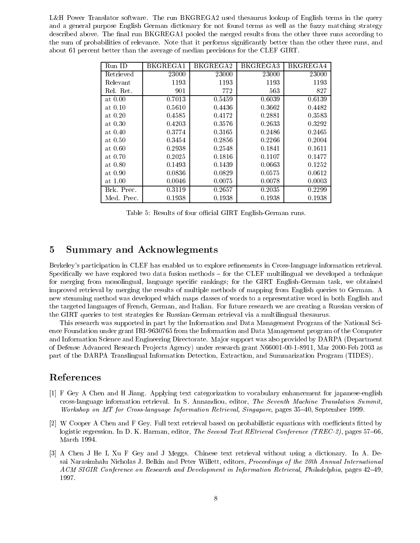L&H Power Translator software. The run BKGREGA2 used thesaurus lookup of English terms in the query and a general purpose English German dictionary for not found terms as well as the fuzzy matching strategy described above. The final run BKGREGA1 pooled the merged results from the other three runs according to the sum of probabilities of relevance. Note that it performs signicantly better than the other three runs, and about 61 percent better than the average of median precisions for the CLEF GIRT.

| Run ID     | BKGREGA1 | BKGREGA2 | BKGREGA3 | BKGREGA4 |  |
|------------|----------|----------|----------|----------|--|
| Retrieved  | 23000    | 23000    | 23000    | 23000    |  |
| Relevant   | 1193     | 1193     | 1193     | 1193     |  |
| Rel. Ret.  | 901      | 772      | 563      | 827      |  |
| at $0.00$  | 0.7013   | 0.5459   | 0.6039   | 0.6139   |  |
| at 0.10    | 0.5610   | 0.4436   | 0.3662   | 0.4482   |  |
| at $0.20$  | 0.4585   | 0.4172   | 0.2881   | 0.3583   |  |
| at $0.30$  | 0.4203   | 0.3576   | 0.2633   | 0.3292   |  |
| at $0.40$  | 0.3774   | 0.3165   | 0.2486   | 0.2465   |  |
| at $0.50$  | 0.3454   | 0.2856   | 0.2266   | 0.2004   |  |
| at $0.60$  | 0.2938   | 0.2548   | 0.1841   | 0.1611   |  |
| at $0.70$  | 0.2025   | 0.1816   | 0.1107   | 0.1477   |  |
| at 0.80    | 0.1493   | 0.1439   | 0.0663   | 0.1252   |  |
| at 0.90    | 0.0836   | 0.0829   | 0.0575   | 0.0612   |  |
| at 1.00    | 0.0046   | 0.0075   | 0.0078   | 0.0003   |  |
| Brk. Prec. | 0.3119   | 0.2657   | 0.2035   | 0.2299   |  |
| Med. Prec. | 0.1938   | 0.1938   | 0.1938   | 0.1938   |  |

Table 5: Results of four official GIRT English-German runs.

## 5 Summary and Acknowlegments

Berkeley's participation in CLEF has enabled us to explore refinements in Cross-language information retrieval. Specifically we have explored two data fusion methods – for the CLEF multilingual we developed a technique for merging from monolingual, language specific rankings; for the GIRT English-German task, we obtained improved retrieval by merging the results of multiple methods of mapping from English queries to German. A new stemming method was developed which maps classes of words to a representative word in both English and the targeted languages of French, German, and Italian. For future research we are creating a Russian version of the GIRT queries to test strategies for Russian-German retrieval via a multilingual thesaurus.

This research was supported in part by the Information and Data Management Program of the National Science Foundation under grant IRI-9630765 from the Information and Data Management program of the Computer and Information Science and Engineering Directorate. Major support was also provided by DARPA (Department of Defense Advanced Research Projects Agency) under research grant N66001-00-1-8911, Mar 2000-Feb 2003 as part of the DARPA Translingual Information Detection, Extraction, and Summarization Program (TIDES).

## References

- [1] F Gey A Chen and H Jiang. Applying text categorization to vocabulary enhancement for japanese-english cross-language information retrieval. In S. Annandiou, editor, The Seventh Machine Translation Summit, Workshop on MT for Cross-language Information Retrieval, Singapore, pages 35-40, September 1999.
- [2] W Cooper A Chen and F Gey. Full text retrieval based on probabilistic equations with coefficients fitted by logistic regression. In D. K. Harman, editor, *The Second Text REtrieval Conference (TREC-2)*, pages  $57{-}66$ , March 1994.
- [3] A Chen J He L Xu F Gey and J Meggs. Chinese text retrieval without using a dictionary. In A. Desai Narasimhalu Nicholas J. Belkin and Peter Willett, editors, Proceedings of the 20th Annual International ACM SIGIR Conference on Research and Development in Information Retrieval, Philadelphia, pages 42–49, 1997.